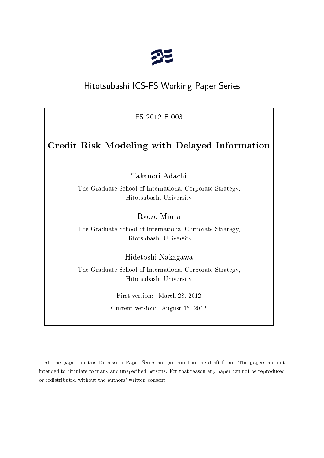

# Hitotsubashi ICS-FS Working Paper Series

FS-2012-E-003

# Credit Risk Modeling with Delayed Information

Takanori Adachi

The Graduate S
hool of International Corporate Strategy, Hitotsubashi University

Ryozo Miura

The Graduate S
hool of International Corporate Strategy, Hitotsubashi University

Hidetoshi Nakagawa

The Graduate S
hool of International Corporate Strategy, Hitotsubashi University

> First version: Mar
> h 28, 2012 Current version: August 16, 2012

All the papers in this Dis
ussion Paper Series are presented in the draft form. The papers are not intended to circulate to many and unspecified persons. For that reason any paper can not be reproduced or redistributed without the authors' written onsent.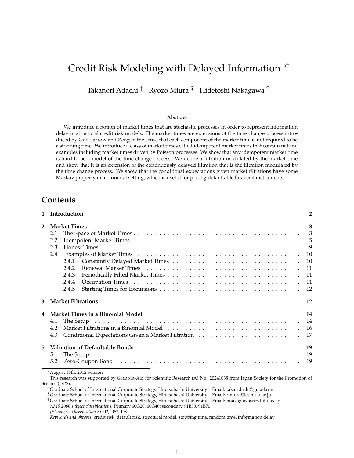# Credit Risk Modeling with Delayed Information *<sup>∗</sup>*†

Takanori Adachi <sup>‡</sup> Ryozo Miura <sup>§</sup> Hidetoshi Nakagawa <sup>¶</sup>

#### **Abstract**

We introduce a notion of market times that are stochastic processes in order to represent information delay in structural credit risk models. The market times are extensions of the time change process introduced by Guo, Jarrow and Zeng in the sense that each component of the market time is not required to be a stopping time. We introduce a class of market times called idempotent market times that contain natural examples including market times driven by Poisson processes. We show that any idempotent market time is hard to be a model of the time change process. We define a filtration modulated by the market time and show that it is an extension of the continuously delayed filtration that is the filtration modulated by the time change process. We show that the conditional expectations given market filtrations have some Markov property in a binomial setting, which is useful for pricing defaultable financial instruments.

# **Contents**

| $\mathbf{1}$            | Introduction                                                                                                                              | $\overline{2}$           |
|-------------------------|-------------------------------------------------------------------------------------------------------------------------------------------|--------------------------|
| $\overline{2}$          | <b>Market Times</b>                                                                                                                       | 3                        |
|                         | 2.1                                                                                                                                       | $\overline{\phantom{a}}$ |
|                         | 2.2                                                                                                                                       | $\overline{5}$           |
|                         | 2.3                                                                                                                                       | 9                        |
|                         | 2.4                                                                                                                                       | 10                       |
|                         | 2.4.1                                                                                                                                     | 10                       |
|                         | 2.4.2                                                                                                                                     | 11                       |
|                         | 2.4.3                                                                                                                                     | 11                       |
|                         | 2.4.4                                                                                                                                     | 11                       |
|                         | 2.4.5                                                                                                                                     | 12                       |
|                         |                                                                                                                                           |                          |
| 3                       | <b>Market Filtrations</b>                                                                                                                 | 12                       |
| $\overline{\mathbf{4}}$ | Market Times in a Binomial Model                                                                                                          | 14                       |
|                         | 4.1                                                                                                                                       | 14                       |
|                         | 4.2                                                                                                                                       | -16                      |
|                         | 4.3                                                                                                                                       | 17                       |
| 5                       | <b>Valuation of Defaultable Bonds</b>                                                                                                     | 19                       |
|                         | 5.1                                                                                                                                       | 19                       |
|                         | 5.2                                                                                                                                       | 19                       |
|                         | *August 16th, 2012 version                                                                                                                |                          |
|                         | <sup>†</sup> This research was supported by Grant-in-Aid for Scientific Research (A) No. 20241038 from Japan Society for the Promotion of |                          |
|                         | Science (JSPS).                                                                                                                           |                          |
|                         | <sup>‡</sup> Graduate School of International Corporate Strategy, Hitotsubashi University Email: taka.adachi@gmail.com                    |                          |
|                         | <sup>§</sup> Graduate School of International Corporate Strategy, Hitotsubashi University<br>Email: rmiura@ics.hit-u.ac.jp                |                          |
|                         | "Graduate School of International Corporate Strategy, Hitotsubashi University Email: hnakagawa@ics.hit-u.ac.jp                            |                          |

*AMS 2000 subject classifications:* Primary 60G20, 60G40; secondary 91B30, 91B70

*JEL subject classifications:* C02, D52, D8

*Keywords and phrases:* credit risk, default risk, structural model, stopping time, random time, information delay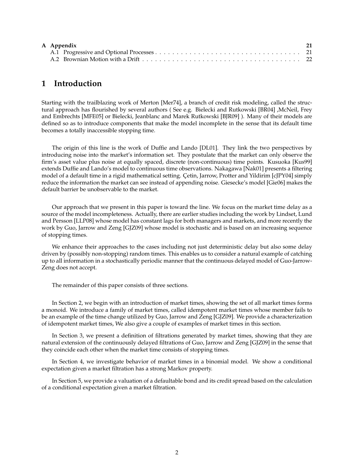|  | A Appendix |  |
|--|------------|--|
|  |            |  |
|  |            |  |

# **1 Introduction**

Starting with the trailblazing work of Merton [Mer74], a branch of credit risk modeling, called the structural approach has flourished by several authors ( See e.g. Bielecki and Rutkowski [BR04] ,McNeil, Frey and Embrechts [MFE05] or Bielecki, Jeanblanc and Marek Rutkowski [BJR09] ). Many of their models are defined so as to introduce components that make the model incomplete in the sense that its default time becomes a totally inaccessible stopping time.

The origin of this line is the work of Duffie and Lando [DL01]. They link the two perspectives by introducing noise into the market's information set. They postulate that the market can only observe the firm's asset value plus noise at equally spaced, discrete (non-continuous) time points. Kusuoka [Kus99] extends Duffie and Lando's model to continuous time observations. Nakagawa [Nak01] presents a filtering model of a default time in a rigid mathematical setting. Cetin, Jarrow, Protter and Yildirim [cJPY04] simply reduce the information the market can see instead of appending noise. Giesecke's model [Gie06] makes the default barrier be unobservable to the market.

Our approach that we present in this paper is toward the line. We focus on the market time delay as a source of the model incompleteness. Actually, there are earlier studies including the work by Lindset, Lund and Persson [LLP08] whose model has constant lags for both managers and markets, and more recently the work by Guo, Jarrow and Zeng [GJZ09] whose model is stochastic and is based on an increasing sequence of stopping times.

We enhance their approaches to the cases including not just deterministic delay but also some delay driven by (possibly non-stopping) random times. This enables us to consider a natural example of catching up to all information in a stochastically periodic manner that the continuous delayed model of Guo-Jarrow-Zeng does not accept.

The remainder of this paper consists of three sections.

In Section 2, we begin with an introduction of market times, showing the set of all market times forms a monoid. We introduce a family of market times, called idempotent market times whose member fails to be an example of the time change utilized by Guo, Jarrow and Zeng [GJZ09]. We provide a characterization of idempotent market times, We also give a couple of examples of market times in this section.

In Section 3, we present a definition of filtrations generated by market times, showing that they are natural extension of the continuously delayed filtrations of Guo, Jarrow and Zeng [GJZ09] in the sense that they coincide each other when the market time consists of stopping times.

In Section 4, we investigate behavior of market times in a binomial model. We show a conditional expectation given a market filtration has a strong Markov property.

In Section 5, we provide a valuation of a defaultable bond and its credit spread based on the calculation of a conditional expectation given a market filtration.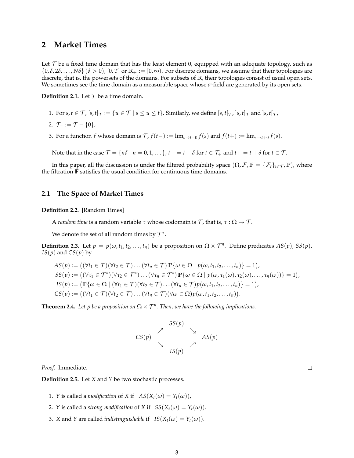# **2 Market Times**

Let  $\mathcal T$  be a fixed time domain that has the least element 0, equipped with an adequate topology, such as  $\{0, \delta, 2\delta, \ldots, N\delta\}$  ( $\delta > 0$ ), [0, *T*] or  $\mathbb{R}_+ := [0, \infty)$ . For discrete domains, we assume that their topologies are discrete, that is, the powersets of the domains. For subsets of **R**, their topologies consist of usual open sets. We sometimes see the time domain as a measurable space whose  $\sigma$ -field are generated by its open sets.

**Definition 2.1.** Let  $T$  be a time domain.

- 1. For  $s, t \in \mathcal{T}$ ,  $[s, t]_{\mathcal{T}} := \{u \in \mathcal{T} \mid s \leq u \leq t\}$ . Similarly, we define  $[s, t]_{\mathcal{T}}$ ,  $[s, t]_{\mathcal{T}}$  and  $[s, t]_{\mathcal{T}}$ ,
- 2.  $\mathcal{T}_+ := \mathcal{T} \{0\},\$
- 3. For a function *f* whose domain is  $\mathcal{T}$ ,  $f(t-) := \lim_{s \to t-0} f(s)$  and  $f(t+) := \lim_{s \to t+0} f(s)$ .

Note that in the case  $\mathcal{T} = \{n\delta \mid n = 0, 1, \ldots\}$ ,  $t - t - \delta$  for  $t \in \mathcal{T}_+$  and  $t + t + \delta$  for  $t \in \mathcal{T}_-$ .

In this paper, all the discussion is under the filtered probability space  $(\Omega, \mathcal{F}, \mathbb{F} = {\{\mathcal{F}_t\}}_{t \in \mathcal{T}}, \mathbb{P})$ , where the filtration **F** satisfies the usual condition for continuous time domains.

## **2.1 The Space of Market Times**

**Definition 2.2.** [Random Times]

A *random time* is a random variable *τ* whose codomain is *T* , that is, *τ* : Ω *→ T* .

We denote the set of all random times by  $\mathcal{T}^*$ .

**Definition 2.3.** Let  $p = p(\omega, t_1, t_2, \ldots, t_n)$  be a proposition on  $\Omega \times T^n$ . Define predicates  $AS(p)$ ,  $SS(p)$ , *IS*( $p$ ) and *CS*( $p$ ) by

$$
AS(p) := ((\forall t_1 \in \mathcal{T})(\forall t_2 \in \mathcal{T}) \dots (\forall t_n \in \mathcal{T}) \mathbb{P}\{\omega \in \Omega \mid p(\omega, t_1, t_2, \dots, t_n)\} = 1),
$$
  
\n
$$
SS(p) := ((\forall \tau_1 \in \mathcal{T}^*)(\forall \tau_2 \in \mathcal{T}^*) \dots (\forall \tau_n \in \mathcal{T}^*) \mathbb{P}\{\omega \in \Omega \mid p(\omega, \tau_1(\omega), \tau_2(\omega), \dots, \tau_n(\omega))\} = 1),
$$
  
\n
$$
IS(p) := (\mathbb{P}\{\omega \in \Omega \mid (\forall t_1 \in \mathcal{T})(\forall t_2 \in \mathcal{T}) \dots (\forall t_n \in \mathcal{T}) p(\omega, t_1, t_2, \dots, t_n)\} = 1),
$$
  
\n
$$
CS(p) := ((\forall t_1 \in \mathcal{T})(\forall t_2 \in \mathcal{T}) \dots (\forall t_n \in \mathcal{T})(\forall \omega \in \Omega) p(\omega, t_1, t_2, \dots, t_n)).
$$

**Theorem 2.4.** Let p be a proposition on  $\Omega \times \mathcal{T}^n$ . Then, we have the following implications.

$$
CS(p) \begin{array}{c} SS(p) \\ \nearrow \\ \searrow \\ \searrow \\ IS(p) \end{array} \begin{array}{c} \searrow \\ \searrow \\ AS(p) \end{array}
$$

*Proof.* Immediate.

**Definition 2.5.** Let *X* and *Y* be two stochastic processes.

- 1. *Y* is called a *modification* of *X* if  $AS(X_t(\omega) = Y_t(\omega))$ ,
- 2. *Y* is called a *strong modification* of *X* if  $SS(X_t(\omega) = Y_t(\omega))$ .
- 3. *X* and *Y* are called *indistinguishable* if  $IS(X_t(\omega) = Y_t(\omega))$ .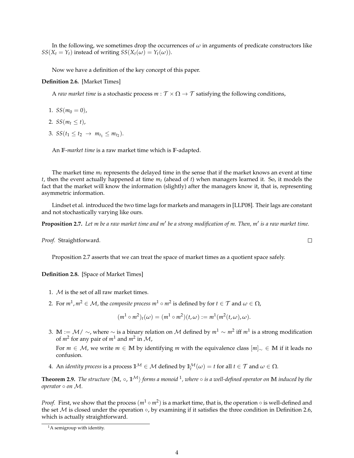In the following, we sometimes drop the occurrences of  $\omega$  in arguments of predicate constructors like *SS*(*X*<sub>*t*</sub> = *Y*<sub>*t*</sub>) instead of writing *SS*(*X*<sub>*t*</sub>(*ω*) = *Y*<sub>*t*</sub>(*ω*)).

Now we have a definition of the key concept of this paper.

#### **Definition 2.6.** [Market Times]

A *raw market time* is a stochastic process  $m : \mathcal{T} \times \Omega \to \mathcal{T}$  satisfying the following conditions,

- 1.  $SS(m_0 = 0)$ ,
- 2. *SS*( $m_t \le t$ ),
- 3.  $SS(t_1 \leq t_2 \rightarrow m_{t_1} \leq m_{t_2}).$

An **F**-*market time* is a raw market time which is **F**-adapted.

The market time *mt* represents the delayed time in the sense that if the market knows an event at time *t*, then the event actually happened at time *mt* (ahead of *t*) when managers learned it. So, it models the fact that the market will know the information (slightly) after the managers know it, that is, representing asymmetric information.

Lindset et al. introduced the two time lags for markets and managers in [LLP08]. Their lags are constant and not stochastically varying like ours.

**Proposition 2.7.** *Let m be a raw market time and m′ be a strong modification of m. Then, m′ is a raw market time.*

*Proof.* Straightforward.

Proposition 2.7 asserts that we can treat the space of market times as a quotient space safely.

**Definition 2.8.** [Space of Market Times]

- 1. *M* is the set of all raw market times.
- 2. For  $m^1$ ,  $m^2 \in \mathcal{M}$ , the *composite process*  $m^1 \circ m^2$  *is defined by for*  $t \in \mathcal{T}$  *and*  $\omega \in \Omega$ *,*

$$
(m1 \circ m2)t(\omega) = (m1 \circ m2)(t,\omega) := m1(m2(t,\omega),\omega).
$$

3. **M** := *M*/ *∼*, where *∼* is a binary relation on *M* defined by *m*<sup>1</sup> *∼ m*<sup>2</sup> iff *m*<sup>1</sup> is a strong modification of  $m^2$  for any pair of  $m^1$  and  $m^2$  in  $\mathcal{M}$ ,

For *m ∈ M*, we write *m ∈* **M** by identifying *m* with the equivalence class [*m*]*<sup>∼</sup> ∈* **M** if it leads no confusion.

4. An *identity process* is a process  $1^{\mathcal{M}} \in \mathcal{M}$  defined by  $1_i^{\mathcal{M}}(\omega) = t$  for all  $t \in \mathcal{T}$  and  $\omega \in \Omega$ .

**Theorem 2.9.** *The structure ⟨***M**, *◦*, **1***M⟩ forms a monoid* <sup>1</sup> *, where ◦ is a well-defined operator on* **M** *induced by the operator ◦ on M.*

*Proof.* First, we show that the process  $(m^1 \circ m^2)$  is a market time, that is, the operation ∘ is well-defined and the set *M* is closed under the operation *◦*, by examining if it satisfies the three condition in Definition 2.6, which is actually straightforward.

 ${}^{1}$ A semigroup with identity.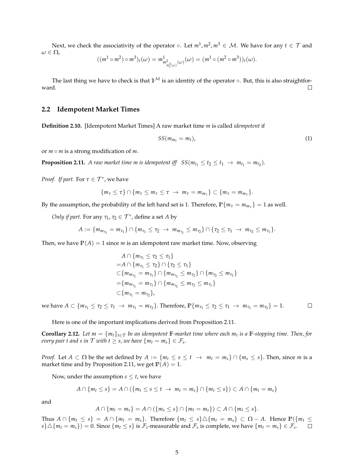Next, we check the associativity of the operator  $\circ$ . Let  $m^1, m^2, m^3 \in \mathcal{M}$ . We have for any  $t \in \mathcal{T}$  and *ω ∈* Ω,

$$
((m^1 \circ m^2) \circ m^3)_t(\omega) = m^1_{m^2_{\pi^3_t(\omega)}(\omega)}(\omega) = (m^1 \circ (m^2 \circ m^3))_t(\omega).
$$

The last thing we have to check is that **1***<sup>M</sup>* is an identity of the operator *◦*. But, this is also straightforward.  $\Box$ 

### **2.2 Idempotent Market Times**

**Definition 2.10.** [Idempotent Market Times] A raw market time *m* is called *idempotent* if

$$
SS(m_{m_t} = m_t), \tag{1}
$$

or *m ◦ m* is a strong modification of *m*.

**Proposition 2.11.** *A raw market time m is idempotent iff*  $SS(m_{t_1} \le t_2 \le t_1 \rightarrow m_{t_1} = m_{t_2})$ *.* 

*Proof. If part.* For  $\tau \in \mathcal{T}^*$ , we have

$$
\{m_{\tau}\leq \tau\}\cap\{m_{\tau}\leq m_{\tau}\leq \tau\rightarrow m_{\tau}=m_{m_{\tau}}\}\subset\{m_{\tau}=m_{m_{\tau}}\}.
$$

By the assumption, the probability of the left hand set is 1. Therefore,  $\mathbb{P}\{m_{\tau}=m_{m_{\tau}}\}=1$  as well.

*Only if part.* For any  $\tau_1$ ,  $\tau_2 \in \mathcal{T}^*$ , define a set *A* by

$$
A := \{m_{m_{\tau_1}} = m_{\tau_1}\} \cap \{m_{\tau_1} \leq \tau_2 \rightarrow m_{m_{\tau_1}} \leq m_{\tau_2}\} \cap \{\tau_2 \leq \tau_1 \rightarrow m_{\tau_2} \leq m_{\tau_1}\}.
$$

Then, we have  $P(A) = 1$  since *m* is an idempotent raw market time. Now, observing

$$
A \cap \{m_{\tau_1} \leq \tau_2 \leq \tau_1\}
$$
  
=  $A \cap \{m_{\tau_1} \leq \tau_2\} \cap \{\tau_2 \leq \tau_1\}$   
 $\subset \{m_{m_{\tau_1}} = m_{\tau_1}\} \cap \{m_{m_{\tau_1}} \leq m_{\tau_2}\} \cap \{m_{\tau_2} \leq m_{\tau_1}\}$   
=  $\{m_{m_{\tau_1}} = m_{\tau_1}\} \cap \{m_{m_{\tau_1}} \leq m_{\tau_2} \leq m_{\tau_1}\}$   
 $\subset \{m_{\tau_1} = m_{\tau_2}\},$ 

 $\Box$ we have  $A \subset \{m_{\tau_1} \leq \tau_2 \leq \tau_1 \rightarrow m_{\tau_1} = m_{\tau_2}\}\.$  Therefore,  $\mathbb{P}\{m_{\tau_1} \leq \tau_2 \leq \tau_1 \rightarrow m_{\tau_1} = m_{\tau_2}\}=1.$ 

Here is one of the important implications derived from Proposition 2.11.

**Corollary 2.12.** Let  $m = \{m_t\}_{t \in \mathcal{T}}$  be an idempotent  $\mathbb{F}$ -market time where each  $m_t$  is a  $\mathbb{F}$ -stopping time. Then, for *every pair t and s in*  $\mathcal T$  *with*  $t\geq s$ *, we have*  $\{m_t=m_s\}\in \mathcal F_s.$ 

*Proof.* Let  $A \subset \Omega$  be the set defined by  $A := \{m_t \le s \le t \rightarrow m_t = m_s\} \cap \{m_s \le s\}$ . Then, since m is a market time and by Proposition 2.11, we get  $P(A) = 1$ .

Now, under the assumption  $s \leq t$ , we have

$$
A \cap \{m_t \leq s\} = A \cap (\{m_t \leq s \leq t \rightarrow m_t = m_s\} \cap \{m_t \leq s\}) \subset A \cap \{m_t = m_s\}
$$

and

$$
A\cap \{m_t=m_s\}=A\cap (\{m_s\leq s\}\cap \{m_t=m_s\})\subset A\cap \{m_t\leq s\}.
$$

Thus  $A \cap \{m_t \leq s\} = A \cap \{m_t = m_s\}$ . Therefore  $\{m_t \leq s\} \triangle \{m_t = m_s\} \subset \Omega - A$ . Hence  $\mathbb{P}(\{m_t \leq s\})$  $\{s\}\triangle\{m_t=m_s\})=0.$  Since  $\{m_t\leq s\}$  is  $\mathcal{F}_s$ -measurable and  $\mathcal{F}_s$  is complete, we have  $\{m_t=m_s\}\in\mathcal{F}_s.$  $\Box$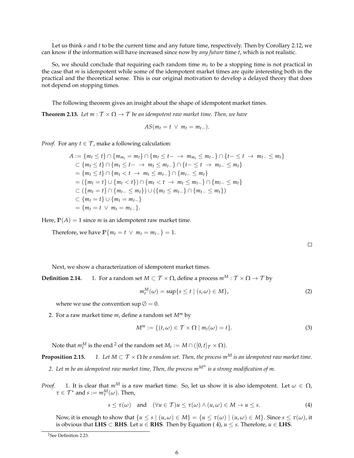Let us think *s* and *t* to be the current time and any future time, respectively. Then by Corollary 2.12, we can know if the information will have increased since now by *any future* time *t*, which is not realistic.

So, we should conclude that requiring each random time  $m_t$  to be a stopping time is not practical in the case that *m* is idempotent while some of the idempotent market times are quite interesting both in the practical and the theoretical sense. This is our original motivation to develop a delayed theory that does not depend on stopping times.

The following theorem gives an insight about the shape of idempotent market times.

**Theorem 2.13.** *Let*  $m : \mathcal{T} \times \Omega \rightarrow \mathcal{T}$  *be an idempotent raw market time. Then, we have* 

$$
AS(m_t = t \vee m_t = m_{t-}).
$$

*Proof.* For any  $t \in \mathcal{T}$ , make a following calculation:

$$
A := \{m_t \le t\} \cap \{m_{m_t} = m_t\} \cap \{m_t \le t - \to m_{m_t} \le m_{t-}\} \cap \{t - \le t \to m_{t-} \le m_t\}
$$
  
\n
$$
\subset \{m_t \le t\} \cap \{m_t \le t - \to m_t \le m_{t-}\} \cap \{t - \le t \to m_{t-} \le m_t\}
$$
  
\n
$$
= \{m_t \le t\} \cap \{m_t < t \to m_t \le m_{t-}\} \cap \{m_t - \le m_t\}
$$
  
\n
$$
= (\{m_t = t\} \cup \{m_t < t\}) \cap \{m_t < t \to m_t \le m_{t-}\} \cap \{m_{t-} \le m_t\}
$$
  
\n
$$
\subset \{\{m_t = t\} \cap \{m_{t-} \le m_t\}\} \cup \{\{m_t \le m_{t-}\} \cap \{m_{t-} \le m_t\}\}
$$
  
\n
$$
\subset \{m_t = t\} \cup \{m_t = m_{t-}\}
$$
  
\n
$$
= \{m_t = t \lor m_t = m_{t-}\}.
$$

Here,  $P(A) = 1$  since *m* is an idempotent raw market time.

Therefore, we have  $\mathbb{P}\{m_t = t \ \lor \ m_t = m_{t-}\} = 1$ .

Next, we show a characterization of idempotent market times.

**Definition 2.14.** 1. For a random set  $M \subset \mathcal{T} \times \Omega$ , define a process  $m^M : \mathcal{T} \times \Omega \to \mathcal{T}$  by

$$
m_t^M(\omega) = \sup\{s \le t \mid (s, \omega) \in M\},\tag{2}
$$

where we use the convention  $\sup \emptyset = 0$ .

2. For a raw market time *m*, define a random set *M<sup>m</sup>* by

$$
M^m := \{ (t, \omega) \in \mathcal{T} \times \Omega \mid m_t(\omega) = t \}.
$$
 (3)

Note that  $m_t^M$  is the end <sup>2</sup> of the random set  $M_t := M \cap ([0, t]_{\mathcal{T}} \times \Omega)$ .

**Proposition 2.15.** *1. Let*  $M \subset T \times \Omega$  *be a random set. Then, the process m*<sup>*M</sup> is an idempotent raw market time.*</sup>

*2. Let m be an idempotent raw market time, Then, the process mM<sup>m</sup> is a strong modification of m.*

*Proof.* 1. It is clear that  $m^M$  is a raw market time. So, let us show it is also idempotent. Let  $\omega \in \Omega$ ,  $\tau \in \mathcal{T}^*$  and  $s := m_\tau^M(\omega)$ . Then,

$$
s \leq \tau(\omega) \quad \text{and} \quad (\forall u \in \mathcal{T})u \leq \tau(\omega) \land (u, \omega) \in M \to u \leq s. \tag{4}
$$

Now, it is enough to show that  $\{u \le s \mid (u,\omega) \in M\} = \{u \le \tau(\omega) \mid (u,\omega) \in M\}$ . Since  $s \le \tau(\omega)$ , it is obvious that **LHS** *⊂* **RHS**. Let *u ∈* **RHS**. Then by Equation ( 4), *u ≤ s*. Therefore, *u ∈* **LHS**.

<sup>2</sup>See Definition 2.23.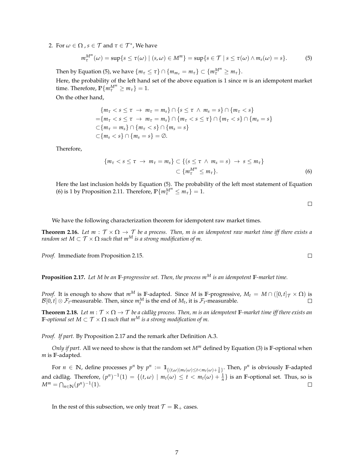2. For  $\omega \in \Omega$  ,  $s \in \mathcal{T}$  and  $\tau \in \mathcal{T}^*$ , We have

$$
m_{\tau}^{M^m}(\omega) = \sup\{s \leq \tau(\omega) \mid (s,\omega) \in M^m\} = \sup\{s \in \mathcal{T} \mid s \leq \tau(\omega) \wedge m_s(\omega) = s\}.
$$
 (5)

Then by Equation (5), we have  $\{m_{\tau} \leq \tau\} \cap \{m_{m_{\tau}} = m_{\tau}\} \subset \{m_{\tau}^{M^m} \geq m_{\tau}\}.$ 

Here, the probability of the left hand set of the above equation is 1 since *m* is an idempotent market time. Therefore,  $\mathbb{P}\{m_{\tau}^{M^m} \geq m_{\tau}\} = 1$ .

On the other hand,

$$
\{m_{\tau} < s \leq \tau \ \to \ m_{\tau} = m_s\} \cap \{s \leq \tau \ \land \ m_s = s\} \cap \{m_{\tau} < s\} \\
 = \{m_{\tau} < s \leq \tau \ \to \ m_{\tau} = m_s\} \cap \{m_{\tau} < s \leq \tau\} \cap \{m_{\tau} < s\} \cap \{m_s = s\} \\
 \subset \{m_{\tau} = m_s\} \cap \{m_{\tau} < s\} \cap \{m_s = s\} \\
 \subset \{m_s < s\} \cap \{m_s = s\} = \emptyset.
$$

Therefore,

$$
\{m_{\tau} < s \leq \tau \ \to \ m_{\tau} = m_s\} \subset \{ (s \leq \tau \ \land \ m_s = s) \ \to \ s \leq m_{\tau} \} \\
 \subset \{m_{\tau}^{M^m} \leq m_{\tau}\}.
$$
\n
$$
\tag{6}
$$

Here the last inclusion holds by Equation (5). The probability of the left most statement of Equation (6) is 1 by Proposition 2.11. Therefore,  $\mathbb{P}\{m_{\tau}^{M^m} \leq m_{\tau}\} = 1$ .

 $\Box$ 

 $\Box$ 

We have the following characterization theorem for idempotent raw market times.

**Theorem 2.16.** Let  $m : \mathcal{T} \times \Omega \to \mathcal{T}$  be a process. Then, m is an idempotent raw market time iff there exists a *random set*  $M \subset \mathcal{T} \times \Omega$  *such that m<sup>M</sup> is a strong modification of m.* 

*Proof.* Immediate from Proposition 2.15.

**Proposition 2.17.** *Let M be an* **F***-progressive set. Then, the process m<sup>M</sup> is an idempotent* **F***-market time.*

*Proof.* It is enough to show that  $m^M$  is **F**-adapted. Since *M* is **F**-progressive,  $M_t = M \cap ([0, t]_T \times \Omega)$  is  $\mathcal{B}[0,t] \otimes \mathcal{F}_t$ -measurable. Then, since  $m_t^M$  is the end of  $M_t$ , it is  $\mathcal{F}_t$ -measurable.

**Theorem 2.18.** Let  $m : \mathcal{T} \times \Omega \to \mathcal{T}$  be a càdlàg process. Then, m is an idempotent **F**-market time iff there exists an **F**-optional set  $M \subset T \times \Omega$  such that  $m^M$  is a strong modification of m.

*Proof. If part.* By Proposition 2.17 and the remark after Definition A.3.

*Only if part.* All we need to show is that the random set *M<sup>m</sup>* defined by Equation (3) is **F**-optional when *m* is **F**-adapted.

For  $n \in \mathbb{N}$ , define processes  $p^n$  by  $p^n := 1_{\{(t,\omega)|m_t(\omega)\leq t < m_t(\omega)+\frac{1}{n}\}}$ . Then,  $p^n$  is obviously F-adapted and càdlàg. Therefore,  $(p^n)^{-1}(1) = \{(t,\omega) \mid m_t(\omega) \le t < m_t(\omega) + \frac{1}{n}\}$  is an F-optional set. Thus, so is  $M^m = \bigcap_{n \in \mathbb{N}} (p^n)^{-1}(1).$  $\Box$ 

In the rest of this subsection, we only treat  $\mathcal{T} = \mathbb{R}_+$  cases.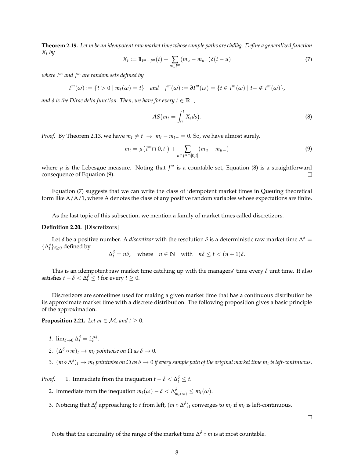**Theorem 2.19.** Let m be an idempotent raw market time whose sample paths are càdlàg. Define a generalized function *Xt by*

$$
X_t := \mathbb{1}_{I^m - J^m}(t) + \sum_{u \in J^m} (m_u - m_{u-})\delta(t - u)
$$
\n(7)

*where I<sup>m</sup> and J<sup>m</sup> are random sets defined by*

 $I^{m}(\omega) := \{t > 0 \mid m_t(\omega) = t\}$  and  $J^{m}(\omega) := \partial I^{m}(\omega) = \{t \in I^{m}(\omega) \mid t - \notin I^{m}(\omega)\}\,$ 

*and*  $\delta$  *is the Dirac delta function. Then, we have for every*  $t \in \mathbb{R}_+$ *,* 

$$
AS\big(m_t = \int_0^t X_s ds\big). \tag{8}
$$

*Proof.* By Theorem 2.13, we have  $m_t \neq t \rightarrow m_t - m_{t-} = 0$ . So, we have almost surely,

$$
m_t = \mu(I^m \cap ]0, t]) + \sum_{u \in J^m \cap ]0, t]} (m_u - m_{u-})
$$
\n(9)

where  $\mu$  is the Lebesgue measure. Noting that  $J^m$  is a countable set, Equation (8) is a straightforward consequence of Equation (9).  $\Box$ 

Equation (7) suggests that we can write the class of idempotent market times in Queuing theoretical form like  $A/A/1$ , where A denotes the class of any positive random variables whose expectations are finite.

As the last topic of this subsection, we mention a family of market times called discretizors.

#### **Definition 2.20.** [Discretizors]

Let  $\delta$  be a positive number. A *discretizor* with the resolution  $\delta$  is a deterministic raw market time  $\Delta^\delta=$  $\{\Delta_t^{\delta}\}_t \geq 0$  defined by

$$
\Delta_t^{\delta} = n\delta, \quad \text{where} \quad n \in \mathbb{N} \quad \text{with} \quad n\delta \le t < (n+1)\delta.
$$

This is an idempotent raw market time catching up with the managers' time every  $\delta$  unit time. It also satisfies  $t - \delta < \Delta_t^{\delta} \le t$  for every  $t \ge 0$ .

Discretizors are sometimes used for making a given market time that has a continuous distribution be its approximate market time with a discrete distribution. The following proposition gives a basic principle of the approximation.

**Proposition 2.21.** *Let*  $m \in \mathcal{M}$ *, and*  $t \geq 0$ *.* 

- 1.  $\lim_{\delta \to 0} \Delta_t^{\delta} = \mathbb{1}_t^{\mathcal{M}}$ .
- 2.  $(\Delta^{\delta} \circ m)_t \to m_t$  pointwise on  $\Omega$  as  $\delta \to 0$ .
- $3.$   $(m\circ\Delta^\delta)_t\to m_t$  pointwise on  $\Omega$  as  $\delta\to 0$  if every sample path of the original market time  $m_t$  is left-continuous.

*Proof.* 1. Immediate from the inequation  $t - \delta < \Delta_t^{\delta} \leq t$ .

- 2. Immediate from the inequation  $m_t(\omega) \delta < \Delta_{m_t(\omega)}^{\delta} \le m_t(\omega)$ .
- 3. Noticing that  $\Delta_t^{\delta}$  approaching to *t* from left,  $(m \circ \Delta^{\delta})_t$  converges to  $m_t$  if  $m_t$  is left-continuous.

 $\Box$ 

Note that the cardinality of the range of the market time ∆ *<sup>δ</sup> ◦ m* is at most countable.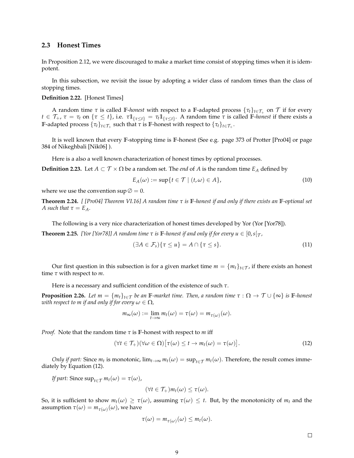## **2.3 Honest Times**

In Proposition 2.12, we were discouraged to make a market time consist of stopping times when it is idempotent.

In this subsection, we revisit the issue by adopting a wider class of random times than the class of stopping times.

#### **Definition 2.22.** [Honest Times]

A random time  $\tau$  is called F-*honest* with respect to a F-adapted process  $\{\tau_t\}_{t\in\mathcal{T}_+}$  on  $\mathcal T$  if for every  $t\in\mathcal{T}_+$ ,  $\tau=\tau_t$  on  $\{\tau\leq t\}$ , i.e.  $\tau\mathbb{1}_{\{\tau\leq t\}}=\tau_t\mathbb{1}_{\{\tau\leq t\}}$ . A random time  $\tau$  is called F-honest if there exists a **F**-adapted process  $\{\tau_t\}_{t\in\mathcal{T}_+}$  such that  $\tau$  is  $\mathbb{F}$ -honest with respect to  $\{\tau_t\}_{t\in\mathcal{T}_+}.$ 

It is well known that every **F**-stopping time is **F**-honest (See e.g. page 373 of Protter [Pro04] or page 384 of Nikeghbali [Nik06] ).

Here is a also a well known characterization of honest times by optional processes.

**Definition 2.23.** Let  $A \subset T \times \Omega$  be a random set. The *end* of *A* is the random time  $E_A$  defined by

$$
E_A(\omega) := \sup\{t \in \mathcal{T} \mid (t, \omega) \in A\},\tag{10}
$$

where we use the convention  $\sup \emptyset = 0$ .

**Theorem 2.24.** *[ [Pro04] Theorem VI.16] A random time τ is* **F***-honest if and only if there exists an* **F***-optional set A* such that  $\tau = E_A$ .

The following is a very nice characterization of honest times developed by Yor (Yor [Yor78]).

**Theorem 2.25.** *[Yor [Yor78]] A random time*  $\tau$  *is* **F**-honest *if and only if for every*  $u \in [0, s | \tau)$ ,

$$
(\exists A \in \mathcal{F}_s) \{ \tau \le u \} = A \cap \{ \tau \le s \}.
$$
\n<sup>(11)</sup>

Our first question in this subsection is for a given market time  $m = \{m_t\}_{t \in \mathcal{T}}$ , if there exists an honest time *τ* with respect to *m*.

Here is a necessary and sufficient condition of the existence of such *τ*.

**Proposition 2.26.** *Let*  $m = \{m_t\}_{t \in \mathcal{T}}\}$  *be an*  $\mathbb{F}$ *-market time. Then, a random time*  $\tau : \Omega \to \mathcal{T} \cup \{\infty\}$  *is*  $\mathbb{F}$ *-honest with respect to m if and only if for every*  $\omega \in \Omega$ ,

$$
m_{\infty}(\omega) := \lim_{t \to \infty} m_t(\omega) = \tau(\omega) = m_{\tau(\omega)}(\omega).
$$

*Proof.* Note that the random time *τ* is **F**-honest with respect to *m* iff

$$
(\forall t \in \mathcal{T}_+)(\forall \omega \in \Omega) [\tau(\omega) \le t \to m_t(\omega) = \tau(\omega)]. \tag{12}
$$

*Only if part:* Since  $m_t$  is monotonic,  $\lim_{t\to\infty}m_t(\omega) = \sup_{t\in\mathcal{T}}m_t(\omega)$ . Therefore, the result comes immediately by Equation (12).

*If part:* Since  $\sup_{t \in \mathcal{T}} m_t(\omega) = \tau(\omega)$ ,

 $(\forall t \in \mathcal{T}_+) m_t(\omega) < \tau(\omega).$ 

So, it is sufficient to show  $m_t(\omega) \ge \tau(\omega)$ , assuming  $\tau(\omega) \le t$ . But, by the monotonicity of  $m_t$  and the assumption  $\tau(\omega) = m_{\tau(\omega)}(\omega)$ , we have

$$
\tau(\omega) = m_{\tau(\omega)}(\omega) \leq m_t(\omega).
$$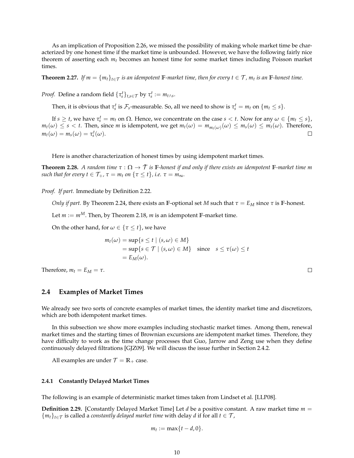As an implication of Proposition 2.26, we missed the possibility of making whole market time be characterized by one honest time if the market time is unbounded. However, we have the following fairly nice theorem of asserting each *mt* becomes an honest time for some market times including Poisson market times.

**Theorem 2.27.** If  $m = {m_t}_{t \in \mathcal{T}}$  is an idempotent  $\mathbb{F}$ -market time, then for every  $t \in \mathcal{T}$ ,  $m_t$  is an  $\mathbb{F}$ -honest time.

*Proof.* Define a random field  $\{\tau_s^t\}_{t,s \in \mathcal{T}}$  by  $\tau_s^t := m_{t \wedge s}$ .

Then, it is obvious that  $\tau_s^t$  is  $\mathcal{F}_s$ -measurable. So, all we need to show is  $\tau_s^t = m_t$  on  $\{m_t \leq s\}$ .

If  $s \geq t$ , we have  $\tau_s^t = m_t$  on  $\Omega$ . Hence, we concentrate on the case  $s < t$ . Now for any  $\omega \in \{m_t \leq s\}$ ,  $m_t(\omega) \leq s < t$ . Then, since m is idempotent, we get  $m_t(\omega) = m_{m_t(\omega)}(\omega) \leq m_s(\omega) \leq m_t(\omega)$ . Therefore,  $m_t(\omega) = m_s(\omega) = \tau_s^t(\omega).$  $\Box$ 

Here is another characterization of honest times by using idempotent market times.

**Theorem 2.28.** *A random time*  $\tau : \Omega \to \overline{T}$  *is* **F**-honest *if and only if there exists an idempotent* **F**-market time *m such that for every*  $t \in \mathcal{T}_+$ *,*  $\tau = m_t$  *<i>on*  $\{\tau \leq t\}$ *, i.e.*  $\tau = m_\infty$ *.* 

*Proof. If part.* Immediate by Definition 2.22.

*Only if part.* By Theorem 2.24, there exists an **F**-optional set *M* such that  $\tau = E_M$  since  $\tau$  is **F**-honest.

Let  $m := m^M$ . Then, by Theorem 2.18, *m* is an idempotent **F**-market time.

On the other hand, for  $\omega \in \{\tau \leq t\}$ , we have

$$
m_t(\omega) = \sup\{s \le t \mid (s, \omega) \in M\}
$$
  
=  $\sup\{s \in \mathcal{T} \mid (s, \omega) \in M\}$  since  $s \le \tau(\omega) \le t$   
=  $E_M(\omega)$ .

Therefore,  $m_t = E_M = \tau$ .

## **2.4 Examples of Market Times**

We already see two sorts of concrete examples of market times, the identity market time and discretizors, which are both idempotent market times.

In this subsection we show more examples including stochastic market times. Among them, renewal market times and the starting times of Brownian excursions are idempotent market times. Therefore, they have difficulty to work as the time change processes that Guo, Jarrow and Zeng use when they define continuously delayed filtrations [GJZ09]. We will discuss the issue further in Section 2.4.2.

All examples are under  $\mathcal{T} = \mathbb{R}_+$  case.

#### **2.4.1 Constantly Delayed Market Times**

The following is an example of deterministic market times taken from Lindset et al. [LLP08].

**Definition 2.29.** [Constantly Delayed Market Time] Let *d* be a positive constant. A raw market time *m* =  ${m_t}_{t\in\mathcal{T}}$  is called a *constantly delayed market time* with delay *d* if for all  $t \in \mathcal{T}$ ,

$$
m_t := \max\{t - d, 0\}.
$$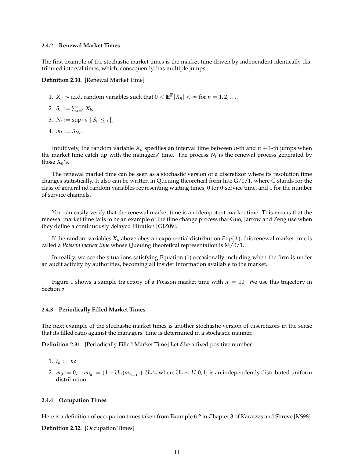#### **2.4.2 Renewal Market Times**

The first example of the stochastic market times is the market time driven by independent identically distributed interval times, which, consequently, has multiple jumps.

**Definition 2.30.** [Renewal Market Time]

- 1. *X<sub>n</sub>*  $\sim$  i.i.d. random variables such that 0 <  $\mathbb{E}^{\mathbb{P}}[X_n]$  < ∞ for *n* = 1,2,...,
- 2.  $S_n := \sum_{k=1}^n X_k$
- 3.  $N_t := \sup\{n \mid S_n \leq t\},\$
- 4.  $m_t := S_{N_t}$ .

Intuitively, the random variable  $X_n$  specifies an interval time between *n*-th and  $n + 1$ -th jumps when the market time catch up with the managers' time. The process  $N_t$  is the renewal process generated by those  $X_n$ 's.

The renewal market time can be seen as a stochastic version of a discretizor where its resolution time changes statistically. It also can be written in Queuing theoretical form like G/0/1, where G stands for the class of general iid random variables representing waiting times, 0 for 0-service time, and 1 for the number of service channels.

You can easily verify that the renewal market time is an idempotent market time. This means that the renewal market time fails to be an example of the time change process that Guo, Jarrow and Zeng use when they define a continuously delayed filtration [GJZ09].

If the random variables  $X_n$  above obey an exponential distribution  $Exp(\lambda)$ , this renewal market time is called a *Poisson market time* whose Queuing theoretical representation is M/0/1.

In reality, we see the situations satisfying Equation (1) occasionally including when the firm is under an audit activity by authorities, becoming all insider information available to the market.

Figure 1 shows a sample trajectory of a Poisson market time with  $\lambda = 10$ . We use this trajectory in Section 5.

#### **2.4.3 Periodically Filled Market Times**

The next example of the stochastic market times is another stochastic version of discretizors in the sense that its filled ratio against the managers' time is determined in a stochastic manner.

**Definition 2.31.** [Periodically Filled Market Time] Let  $\delta$  be a fixed positive number.

- 1.  $t_n := n\delta$
- 2.  $m_0 := 0$ ,  $m_{t_n} := (1 U_n)m_{t_{n-1}} + U_n t_n$  where  $U_n \sim U[0,1]$  is an independently distributed uniform distribution.

#### **2.4.4 Occupation Times**

Here is a definition of occupation times taken from Example 6.2 in Chapter 3 of Karatzas and Shreve [KS98].

**Definition 2.32.** [Occupation Times]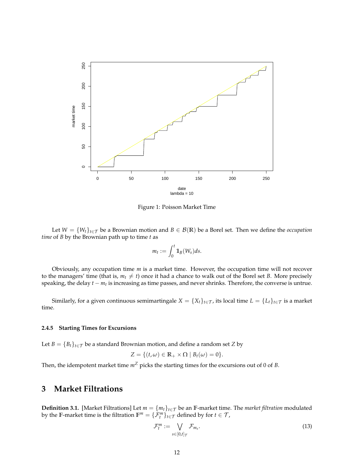

Figure 1: Poisson Market Time

Let  $W = \{W_t\}_{t \in \mathcal{T}}$  be a Brownian motion and  $B \in \mathcal{B}(\mathbb{R})$  be a Borel set. Then we define the *occupation time* of *B* by the Brownian path up to time *t* as

$$
m_t := \int_0^t \mathbb{1}_B(W_s) ds.
$$

Obviously, any occupation time *m* is a market time. However, the occupation time will not recover to the managers' time (that is,  $m_t \neq t$ ) once it had a chance to walk out of the Borel set *B*. More precisely speaking, the delay *t − m<sup>t</sup>* is increasing as time passes, and never shrinks. Therefore, the converse is untrue.

Similarly, for a given continuous semimartingale  $X = \{X_t\}_{t \in \mathcal{T}}$ , its local time  $L = \{L_t\}_{t \in \mathcal{T}}$  is a market time.

#### **2.4.5 Starting Times for Excursions**

Let *B* =  ${B_t}_{t \in \mathcal{T}}$  be a standard Brownian motion, and define a random set *Z* by

$$
Z = \{ (t, \omega) \in \mathbb{R}_+ \times \Omega \mid B_t(\omega) = 0 \}.
$$

Then, the idempotent market time  $m^Z$  picks the starting times for the excursions out of 0 of *B*.

# **3 Market Filtrations**

**Definition 3.1.** [Market Filtrations] Let *m* = *{mt}t∈T* be an **F**-market time. The *market filtration* modulated by the **F**-market time is the filtration  $\mathbb{F}^m = \{ \mathcal{F}_t^m \}_{t \in \mathcal{T}}$  defined by for  $t \in \mathcal{T}$ ,

$$
\mathcal{F}_t^m := \bigvee_{s \in [0,t]_{\mathcal{T}}} \mathcal{F}_{m_s}.
$$
\n(13)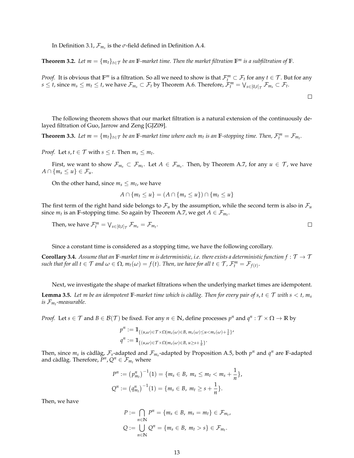In Definition 3.1,  $\mathcal{F}_{m_s}$  is the  $\sigma$ -field defined in Definition A.4.

**Theorem 3.2.** Let  $m = \{m_t\}_{t \in \mathcal{T}}$  be an  $\mathbb{F}$ -market time. Then the market filtration  $\mathbb{F}^m$  is a subfiltration of  $\mathbb{F}$ *.* 

*Proof.* It is obvious that  $F^m$  is a filtration. So all we need to show is that  $\mathcal{F}_t^m\subset \mathcal{F}_t$  for any  $t\in\mathcal{T}$ . But for any  $s\leq t$ , since  $m_s\leq m_t\leq t$ , we have  $\mathcal{F}_{m_s}\subset \mathcal{F}_t$  by Theorem A.6. Therefore,  $\mathcal{F}_t^m=\bigvee_{s\in[0,t]_{\mathcal{T}}}\mathcal{F}_{m_s}\subset \mathcal{F}_t$ .

 $\Box$ 

The following theorem shows that our market filtration is a natural extension of the continuously delayed filtration of Guo, Jarrow and Zeng [GJZ09].

**Theorem 3.3.** Let  $m = \{m_t\}_{t \in \mathcal{T}}$  be an  $\mathbb{F}$ -market time where each  $m_t$  is an  $\mathbb{F}$ -stopping time. Then,  $\mathcal{F}_t^m = \mathcal{F}_{m_t}$ .

*Proof.* Let  $s, t \in \mathcal{T}$  with  $s \leq t$ . Then  $m_s \leq m_t$ .

First, we want to show  $\mathcal{F}_{m_s} \subset \mathcal{F}_{m_t}$ . Let  $A \in \mathcal{F}_{m_s}$ . Then, by Theorem A.7, for any  $u \in \mathcal{T}$ , we have  $A \cap \{m_s \leq u\} \in \mathcal{F}_u$ .

On the other hand, since  $m_s \leq m_t$ , we have

$$
A \cap \{m_t \le u\} = (A \cap \{m_s \le u\}) \cap \{m_t \le u\}
$$

The first term of the right hand side belongs to  $\mathcal{F}_u$  by the assumption, while the second term is also in  $\mathcal{F}_u$ since  $m_t$  is an **F**-stopping time. So again by Theorem A.7, we get  $A \in \mathcal{F}_{m_t}$ .

Then, we have  $\mathcal{F}_t^m = \bigvee_{s \in [0,t]_{\mathcal{T}}} \mathcal{F}_{m_s} = \mathcal{F}_{m_t}.$  $\Box$ 

Since a constant time is considered as a stopping time, we have the following corollary.

**Corollary 3.4.** *Assume that an*  $F$ *-market time m is deterministic, i.e. there exists a deterministic function*  $f : T \to T$ such that for all  $t \in \mathcal{T}$  and  $\omega \in \Omega$ ,  $m_t(\omega) = f(t)$ . Then, we have for all  $t \in \mathcal{T}$ ,  $\mathcal{F}_t^m = \mathcal{F}_{f(t)}$ .

Next, we investigate the shape of market filtrations when the underlying market times are idempotent. **Lemma 3.5.** Let m be an idempotent **F**-market time which is càdlàg. Then for every pair of  $s, t \in T$  with  $s < t$ ,  $m_s$ *is Fm<sup>t</sup> -measurable.*

*Proof.* Let  $s \in \mathcal{T}$  and  $B \in \mathcal{B}(\mathcal{T})$  be fixed. For any  $n \in \mathbb{N}$ , define processes  $p^n$  and  $q^n : \mathcal{T} \times \Omega \to \mathbb{R}$  by

$$
p^n := \mathbb{1}_{\{(u,\omega) \in \mathcal{T} \times \Omega | m_s(\omega) \in B, m_s(\omega) \le u < m_s(\omega) + \frac{1}{n}\}'}
$$
\n
$$
q^n := \mathbb{1}_{\{(u,\omega) \in \mathcal{T} \times \Omega | m_s(\omega) \in B, u \ge s + \frac{1}{n}\}}.
$$

Then, since  $m_s$  is càdlàg,  $\mathcal{F}_s$ -adapted and  $\mathcal{F}_{m_s}$ -adapted by Proposition A.5, both  $p^n$  and  $q^n$  are F-adapted and càdlàg. Therefore,  $P^n$ ,  $Q^n \in \mathcal{F}_{m_t}$  where

$$
P^n := (p_{m_t}^n)^{-1}(1) = \{m_s \in B, m_s \le m_t < m_s + \frac{1}{n}\},
$$
  

$$
Q^n := (q_{m_t}^n)^{-1}(1) = \{m_s \in B, m_t \ge s + \frac{1}{n}\}.
$$

Then, we have

$$
P := \bigcap_{n \in \mathbb{N}} P^n = \{m_s \in B, m_s = m_t\} \in \mathcal{F}_{m_t},
$$
  

$$
Q := \bigcup_{n \in \mathbb{N}} Q^n = \{m_s \in B, m_t > s\} \in \mathcal{F}_{m_t}.
$$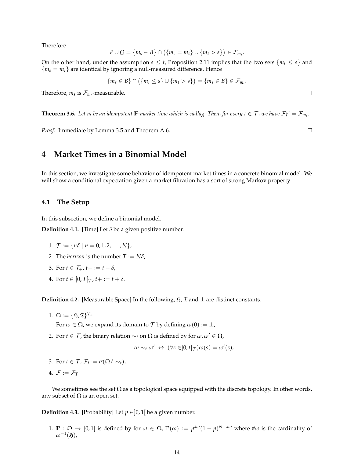Therefore

$$
P\cup Q=\{m_s\in B\}\cap (\{m_s=m_t\}\cup \{m_t>s\})\in \mathcal{F}_{m_t}.
$$

On the other hand, under the assumption  $s \leq t$ , Proposition 2.11 implies that the two sets  ${m_t \leq s}$  and  ${m_s = m_t}$  are identical by ignoring a null-measured difference. Hence

$$
\{m_s \in B\} \cap (\{m_t \le s\} \cup \{m_t > s\}) = \{m_s \in B\} \in \mathcal{F}_{m_t}.
$$

Therefore,  $m_s$  is  $\mathcal{F}_{m_t}$ -measurable.

**Theorem 3.6.** Let m be an idempotent  $\mathbb{F}$ -market time which is càdlàg. Then, for every  $t \in \mathcal{T}$ , we have  $\mathcal{F}_t^m = \mathcal{F}_{m_t}$ .

*Proof.* Immediate by Lemma 3.5 and Theorem A.6.

# **4 Market Times in a Binomial Model**

In this section, we investigate some behavior of idempotent market times in a concrete binomial model. We will show a conditional expectation given a market filtration has a sort of strong Markov property.

## **4.1 The Setup**

In this subsection, we define a binomial model.

**Definition 4.1.** [Time] Let  $\delta$  be a given positive number.

- 1.  $\mathcal{T} := \{ n\delta \mid n = 0, 1, 2, ..., N \},\$
- 2. The *horizon* is the number  $T := N\delta$ ,
- 3. For  $t \in \mathcal{T}_+$ ,  $t- := t \delta$ ,
- 4. For  $t \in [0, T[\tau, t + := t + \delta.$

**Definition 4.2.** [Measurable Space] In the following,  $\mathfrak{H}$ ,  $\mathfrak{T}$  and  $\perp$  are distinct constants.

1.  $\Omega := {\mathfrak{H},\mathfrak{T}}^{\mathcal{T}_+}.$ 

For  $\omega \in \Omega$ , we expand its domain to  $\mathcal T$  by defining  $\omega(0) := \perp$ ,

2. For *t* ∈ *T*, the binary relation  $∼$ <sub>*t*</sub> on Ω is defined by for  $ω$ ,  $ω' ∈ Ω$ ,

$$
\omega \sim_t \omega' \; \leftrightarrow \; (\forall s \in ]0, t]_{\mathcal{T}}) \omega(s) = \omega'(s),
$$

- 3. For  $t \in \mathcal{T}$ ,  $\mathcal{F}_t := \sigma(\Omega / \sim_t)$ ,
- 4.  $\mathcal{F} := \mathcal{F}_T$ .

We sometimes see the set  $\Omega$  as a topological space equipped with the discrete topology. In other words, any subset of  $\Omega$  is an open set.

**Definition 4.3.** [Probability] Let  $p \in ]0,1[$  be a given number.

1. **P** :  $Ω → [0,1]$  is defined by for  $ω ∈ Ω$ ,  $P(ω) := p^{#ω}(1-p)^{N-#ω}$  where  $#ω$  is the cardinality of  $\omega^{-1}(\mathfrak{H})$ ,

 $\Box$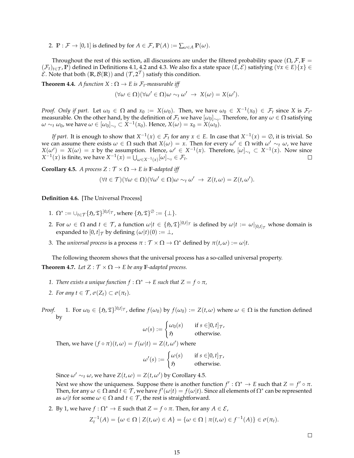2.  $\mathbb{P}: \mathcal{F} \to [0,1]$  is defined by for  $A \in \mathcal{F}$ ,  $\mathbb{P}(A) := \sum_{\omega \in A} \mathbb{P}(\omega)$ .

Throughout the rest of this section, all discussions are under the filtered probability space ( $\Omega$ ,  $\mathcal{F}$ ,  $\mathbb{F}$  =  $(\mathcal{F}_t)_{t \in \mathcal{T}}$ ,  $\mathbb{P})$  defined in Definitions 4.1, 4.2 and 4.3. We also fix a state space  $(E, \mathcal{E})$  satisfying  $(\forall x \in E) \{x\} \in$  $\mathcal{E}$ . Note that both  $(\mathbb{R}, \mathcal{B}(\mathbb{R}))$  and  $(\mathcal{T}, 2^{\mathcal{T}})$  satisfy this condition.

**Theorem 4.4.** *A function*  $X : \Omega \to E$  *is*  $\mathcal{F}_t$ -measurable iff

$$
(\forall \omega \in \Omega)(\forall \omega' \in \Omega)\omega \sim_t \omega' \rightarrow X(\omega) = X(\omega').
$$

*Proof. Only if part.* Let  $\omega_0 \in \Omega$  and  $x_0 := X(\omega_0)$ . Then, we have  $\omega_0 \in X^{-1}(x_0) \in \mathcal{F}_t$  since X is  $\mathcal{F}_t$ measurable. On the other hand, by the definition of  $\mathcal{F}_t$  we have  $[\omega_0]_{\sim_t}$ . Therefore, for any  $\omega \in \Omega$  satisfying *ω* ∼*t ω*<sub>0</sub>, we have  $ω ∈ [ω_0]_{\sim_t} ⊂ X^{-1}(x_0)$ . Hence,  $X(ω) = x_0 = X(ω_0)$ .

*If part.* It is enough to show that *X −*1 (*x*) *∈ F<sup>t</sup>* for any *x ∈ E*. In case that *X −*1 (*x*) = ∅, it is trivial. So we can assume there exists  $\omega \in \Omega$  such that  $X(\omega) = x$ . Then for every  $\omega' \in \Omega$  with  $\omega' \sim_t \omega$ , we have  $X(\omega') = X(\omega) = x$  by the assumption. Hence,  $\omega' \in X^{-1}(x)$ . Therefore,  $[\omega]_{\sim_t} \subset X^{-1}(x)$ . Now since *X*<sup>−1</sup>(*x*) is finite, we have  $X^{-1}(x) = \bigcup_{\omega \in X^{-1}(x)} [\omega]_{\sim_t} \in \mathcal{F}_t$ .

**Corollary 4.5.** *A process*  $Z : \mathcal{T} \times \Omega \rightarrow E$  *is* **F**-adapted iff

$$
(\forall t \in \mathcal{T})(\forall \omega \in \Omega)(\forall \omega' \in \Omega)\omega \sim_t \omega' \rightarrow Z(t,\omega) = Z(t,\omega').
$$

**Definition 4.6.** [The Universal Process]

- $1. \ \Omega^* := \cup_{t \in \mathcal{T}} \{ \mathfrak{H}, \mathfrak{T} \}^{|0,t|_{\mathcal{T}}}$ , where  $\{ \mathfrak{H}, \mathfrak{T} \}^{\emptyset} := \{ \bot \}.$
- 2. For  $\omega \in \Omega$  and  $t \in \mathcal{T}$ , a function  $\omega | t \in \{ \mathfrak{H}, \mathfrak{T} \}^{]0,t]_{\mathcal{T}}}$  is defined by  $\omega | t := \omega|_{]0,t]_{\mathcal{T}}}$  whose domain is expanded to  $[0, t]_{\mathcal{T}}$  by defining  $(\omega | t)(0) := \perp$ ,
- 3. The *universal process* is a process  $\pi : \mathcal{T} \times \Omega \to \Omega^*$  defined by  $\pi(t, \omega) := \omega \mid t$ .

The following theorem shows that the universal process has a so-called universal property. **Theorem 4.7.** *Let*  $Z : \mathcal{T} \times \Omega \to E$  *be any* **F**-adapted process.

- *1. There exists a unique function*  $f: \Omega^* \to E$  *such that*  $Z = f \circ \pi$ *,*
- *2. For any*  $t \in \mathcal{T}$ ,  $\sigma(Z_t) \subset \sigma(\pi_t)$ *.*
- *Proof.* 1. For  $\omega_0 \in \{5, \mathfrak{T}\}^{|0,t] \tau}$ , define  $f(\omega_0)$  by  $f(\omega_0) := Z(t,\omega)$  where  $\omega \in \Omega$  is the function defined by

$$
\omega(s) := \begin{cases} \omega_0(s) & \text{if } s \in ]0, t]_{\mathcal{T}}, \\ \mathfrak{H} & \text{otherwise.} \end{cases}
$$

Then, we have  $(f \circ \pi)(t, \omega) = f(\omega|t) = Z(t, \omega')$  where

$$
\omega'(s) := \begin{cases} \omega(s) & \text{if } s \in ]0, t]_{\mathcal{T}}, \\ \mathfrak{H} & \text{otherwise.} \end{cases}
$$

Since  $\omega' \sim_t \omega$ , we have  $Z(t, \omega) = Z(t, \omega')$  by Corollary 4.5.

Next we show the uniqueness. Suppose there is another function  $f': \Omega^* \to E$  such that  $Z = f' \circ \pi$ . Then, for any  $\omega \in \Omega$  and  $t \in \mathcal{T}$ , we have  $f'(\omega|t) = f(\omega|t)$ . Since all elements of  $\Omega^*$  can be represented as  $\omega$ *|t* for some  $\omega \in \Omega$  and  $t \in \mathcal{T}$ , the rest is straightforward.

2. By 1, we have  $f : \Omega^* \to E$  such that  $Z = f \circ \pi$ . Then, for any  $A \in \mathcal{E}$ ,

$$
Z_t^{-1}(A) = \{ \omega \in \Omega \mid Z(t,\omega) \in A \} = \{ \omega \in \Omega \mid \pi(t,\omega) \in f^{-1}(A) \} \in \sigma(\pi_t).
$$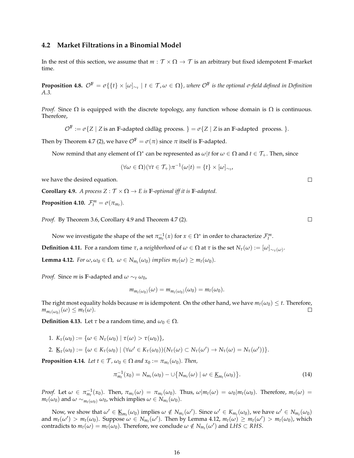## **4.2 Market Filtrations in a Binomial Model**

In the rest of this section, we assume that  $m : \mathcal{T} \times \Omega \to \mathcal{T}$  is an arbitrary but fixed idempotent **F**-market time.

**Proposition 4.8.**  $\mathcal{O}^{\mathbb{F}}=\sigma\{\{t\}\times[\omega]_{\sim_t}\mid t\in\mathcal{T},\omega\in\Omega\}$ , where  $\mathcal{O}^{\mathbb{F}}$  is the optional  $\sigma$ -field defined in Definition *A.3.*

*Proof.* Since  $\Omega$  is equipped with the discrete topology, any function whose domain is  $\Omega$  is continuous. Therefore,

 $\mathcal{O}^{\mathbb{F}} := \sigma\{Z \mid Z \text{ is an }\mathbb{F}\text{-adapted c\`{a}dl\`{a}g \text{ process. }\} = \sigma\{Z \mid Z \text{ is an }\mathbb{F}\text{-adapted process. }\}.$ 

Then by Theorem 4.7 (2), we have  $\mathcal{O}^{\mathbb{F}} = \sigma(\pi)$  since  $\pi$  itself is **F**-adapted.

Now remind that any element of  $\Omega^*$  can be represented as  $\omega|t$  for  $\omega \in \Omega$  and  $t \in \mathcal{T}_+$ . Then, since

$$
(\forall \omega \in \Omega)(\forall t \in \mathcal{T}_+) \pi^{-1}(\omega|t) = \{t\} \times [\omega]_{\sim_t},
$$

we have the desired equation.

**Corollary 4.9.** *A process*  $Z : \mathcal{T} \times \Omega \to E$  *is* **F**-optional *iff it is* **F**-adapted.

**Proposition 4.10.**  $\mathcal{F}_t^m = \sigma(\pi_{m_t})$ .

*Proof.* By Theorem 3.6, Corollary 4.9 and Theorem 4.7 (2).

Now we investigate the shape of the set  $\pi_{m_t}^{-1}(x)$  for  $x \in \Omega^*$  in order to characterize  $\mathcal{F}_t^m$ .

**Definition 4.11.** For a random time *τ*, a *neighborhood* of  $ω ∈ Ω$  at *τ* is the set  $N_τ(ω) := [ω]_{∼_τ(ω)}$ .

**Lemma 4.12.** *For*  $\omega$ ,  $\omega_0 \in \Omega$ ,  $\omega \in N_{m_t}(\omega_0)$  *implies*  $m_t(\omega) \geq m_t(\omega_0)$ .

*Proof.* Since *m* is **F**-adapted and  $\omega \sim_t \omega_0$ ,

$$
m_{m_t(\omega_0)}(\omega)=m_{m_t(\omega_0)}(\omega_0)=m_t(\omega_0).
$$

The right most equality holds because *m* is idempotent. On the other hand, we have  $m_t(\omega_0) \leq t$ . Therefore,  $m_{m_t(\omega_0)}(\omega) \leq m_t(\omega)$ .  $\Box$ 

**Definition 4.13.** Let  $\tau$  be a random time, and  $\omega_0 \in \Omega$ .

1.  $K_{\tau}(\omega_0) := {\omega \in N_{\tau}(\omega_0) | \tau(\omega) > \tau(\omega_0)},$ 

2. 
$$
\underline{K}_{\tau}(\omega_0) := \{\omega \in K_{\tau}(\omega_0) \mid (\forall \omega' \in K_{\tau}(\omega_0))(N_{\tau}(\omega) \subset N_{\tau}(\omega') \to N_{\tau}(\omega) = N_{\tau}(\omega'))\}.
$$

**Proposition 4.14.** *Let*  $t \in \mathcal{T}$ ,  $\omega_0 \in \Omega$  *and*  $x_0 := \pi_{m_t}(\omega_0)$ *. Then,* 

$$
\pi_{m_t}^{-1}(x_0) = N_{m_t}(\omega_0) - \cup \{ N_{m_t}(\omega) \mid \omega \in \underline{K}_{m_t}(\omega_0) \}.
$$
\n(14)

*Proof.* Let  $\omega \in \pi_{m_t}^{-1}(x_0)$ . Then,  $\pi_{m_t}(\omega) = \pi_{m_t}(\omega_0)$ . Thus,  $\omega | m_t(\omega) = \omega_0 | m_t(\omega_0)$ . Therefore,  $m_t(\omega) =$  $m_t(\omega_0)$  and  $\omega \sim_{m_t(\omega_0)} \omega_0$ , which implies  $\omega \in N_{m_t}(\omega_0)$ .

Now, we show that  $\omega' \in \underline{K}_{m_t}(\omega_0)$  implies  $\omega \notin N_{m_t}(\omega')$ . Since  $\omega' \in K_{m_t}(\omega_0)$ , we have  $\omega' \in N_{m_t}(\omega_0)$ and  $m_t(\omega') > m_t(\omega_0)$ . Suppose  $\omega \in N_{m_t}(\omega')$ . Then by Lemma 4.12,  $m_t(\omega) \geq m_t(\omega') > m_t(\omega_0)$ , which contradicts to  $m_t(\omega) = m_t(\omega_0)$ . Therefore, we conclude  $\omega \notin N_{m_t}(\omega')$  and  $LHS \subset RHS$ .

 $\Box$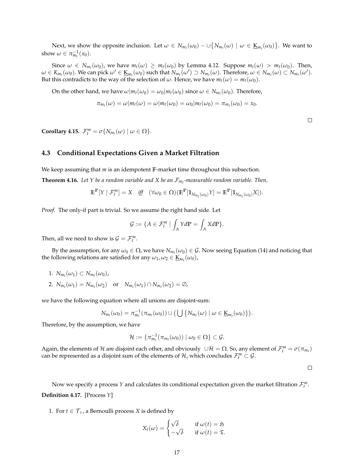Next, we show the opposite inclusion. Let  $\omega \in N_{m_t}(\omega_0) - \cup \{N_{m_t}(\omega) \mid \omega \in \underline{\mathbf{K}}_{m_t}(\omega_0)\}$ . We want to show  $\omega \in \pi_{m_t}^{-1}(x_0)$ .

Since  $\omega \in N_{m_t}(\omega_0)$ , we have  $m_t(\omega) \geq m_t(\omega_0)$  by Lemma 4.12. Suppose  $m_t(\omega) > m_t(\omega_0)$ . Then,  $\omega \in K_{m_t}(\omega_0)$ . We can pick  $\omega' \in \underline{\mathrm{K}}_{m_t}(\omega_0)$  such that  $N_{m_t}(\omega') \supset N_{m_t}(\omega)$ . Therefore,  $\omega \in N_{m_t}(\omega) \subset N_{m_t}(\omega')$ . But this contradicts to the way of the selection of  $\omega$ . Hence, we have  $m_t(\omega) = m_t(\omega_0)$ .

On the other hand, we have  $\omega | m_t(\omega_0) = \omega_0 | m_t(\omega_0)$  since  $\omega \in N_{m_t}(\omega_0)$ . Therefore,

$$
\pi_{m_t}(\omega) = \omega | m_t(\omega) = \omega | m_t(\omega_0) = \omega_0 | m_t(\omega_0) = \pi_{m_t}(\omega_0) = x_0.
$$

 $\Box$ 

**Corollary 4.15.**  $\mathcal{F}_t^m = \sigma\{N_{m_t}(\omega) \mid \omega \in \Omega\}$ .

### **4.3 Conditional Expectations Given a Market Filtration**

We keep assuming that *m* is an idempotent **F**-market time throughout this subsection.

**Theorem 4.16.** *Let Y be a random variable and X be an Fm<sup>t</sup> -measurable random variable. Then,*

$$
\mathbb{E}^{\mathbb{P}}[Y \mid \mathcal{F}_t^m] = X \quad \text{iff} \quad (\forall \omega_0 \in \Omega)(\mathbb{E}^{\mathbb{P}}[\mathbb{1}_{N_{m_t}(\omega_0)}Y] = \mathbb{E}^{\mathbb{P}}[\mathbb{1}_{N_{m_t}(\omega_0)}X]).
$$

*Proof.* The only-if part is trivial. So we assume the right hand side. Let

$$
\mathcal{G} := \{ A \in \mathcal{F}_t^m \mid \int_A Y d\mathbb{P} = \int_A X d\mathbb{P} \}.
$$

Then, all we need to show is  $\mathcal{G} = \mathcal{F}_t^m$ .

By the assumption, for any  $\omega_0 \in \Omega$ , we have  $N_{m_t}(\omega_0) \in \mathcal{G}$ . Now seeing Equation (14) and noticing that the following relations are satisfied for any  $\omega_1$ ,  $\omega_2 \in \underline{\mathbf{K}}_{m_t}(\omega_0)$ ,

1.  $N_{m_t}(\omega_1) \subset N_{m_t}(\omega_0)$ , 2.  $N_{m_t}(\omega_1) = N_{m_t}(\omega_2)$  or  $N_{m_t}(\omega_1) \cap N_{m_t}(\omega_2) = \emptyset$ ,

we have the following equation where all unions are disjoint-sum:

$$
N_{m_t}(\omega_0)=\pi_{m_t}^{-1}(\pi_{m_t}(\omega_0))\cup\big(\bigcup\big\{N_{m_t}(\omega)\mid\omega\in\underline{\mathrm{K}}_{m_t}(\omega_0)\big\}\big).
$$

Therefore, by the assumption, we have

$$
\mathcal{H}:=\{\pi_{m_t}^{-1}(\pi_{m_t}(\omega_0))\mid \omega_0\in\Omega\}\subset\mathcal{G}.
$$

Again, the elements of  $H$  are disjoint each other, and obviously *∪H* =  $\Omega$ . So, any element of  $\mathcal{F}^m_t = \sigma(\pi_{m_t})$ can be represented as a disjoint sum of the elements of  $H$ , which concludes  $\mathcal{F}_{t}^{m} \subset \mathcal{G}$ .

 $\Box$ 

Now we specify a process Y and calculates its conditional expectation given the market filtration  $\mathcal{F}_{t}^{m}$ . **Definition 4.17.** [Process *Y*]

1. For  $t \in \mathcal{T}_+$ , a Bernoulli process *X* is defined by

$$
X_t(\omega) = \begin{cases} \sqrt{\delta} & \text{if } \omega(t) = \mathfrak{H} \\ -\sqrt{\delta} & \text{if } \omega(t) = \mathfrak{T}. \end{cases}
$$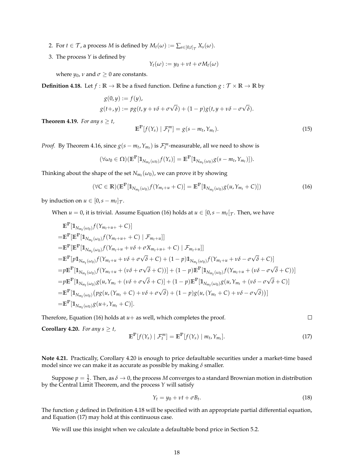- 2. For  $t \in \mathcal{T}$ , a process *M* is defined by  $M_t(\omega) := \sum_{s \in [0,t]_{\mathcal{T}}} X_s(\omega)$ .
- 3. The process *Y* is defined by

$$
Y_t(\omega) := y_0 + vt + \sigma M_t(\omega)
$$

where  $y_0$ ,  $\nu$  and  $\sigma \geq 0$  are constants.

**Definition 4.18.** Let  $f : \mathbb{R} \to \mathbb{R}$  be a fixed function. Define a function  $g : \mathcal{T} \times \mathbb{R} \to \mathbb{R}$  by

$$
g(0,y) := f(y),
$$
  
 
$$
g(t+y) := pg(t, y + v\delta + \sigma\sqrt{\delta}) + (1-p)g(t, y + v\delta - \sigma\sqrt{\delta}).
$$

**Theorem 4.19.** *For any s*  $\geq t$ *,* 

$$
\mathbb{E}^{\mathbb{P}}[f(Y_s) \mid \mathcal{F}_t^m] = g(s - m_t, Y_{m_t}).
$$
\n(15)

*Proof.* By Theorem 4.16, since  $g(s - m_t, Y_{m_t})$  is  $\mathcal{F}_t^m$ -measurable, all we need to show is

$$
(\forall \omega_0 \in \Omega)(\mathbb{E}^{\mathbb{P}}[\mathbb{1}_{N_{m_t}(\omega_0)}f(Y_s)] = \mathbb{E}^{\mathbb{P}}[\mathbb{1}_{N_{m_t}(\omega_0)}g(s-m_t,Y_{m_t})]).
$$

Thinking about the shape of the set  $N_{m_t}(\omega_0)$ , we can prove it by showing

$$
(\forall C \in \mathbb{R})(\mathbb{E}^{\mathbb{P}}[\mathbb{1}_{N_{m_t}(\omega_0)}f(Y_{m_t+u}+C)] = \mathbb{E}^{\mathbb{P}}[\mathbb{1}_{N_{m_t}(\omega_0)}g(u,Y_{m_t}+C)]) \tag{16}
$$

by induction on  $u \in [0, s - m_t]_{\mathcal{T}}$ .

When  $u = 0$ , it is trivial. Assume Equation (16) holds at  $u \in [0, s - m_t[\tau]$ . Then, we have

$$
\mathbb{E}^{\mathbb{P}}[\mathbb{1}_{N_{m_t}(\omega_0)} f(Y_{m_t+u+}+C)]
$$
\n
$$
= \mathbb{E}^{\mathbb{P}}[\mathbb{E}^{\mathbb{P}}[\mathbb{1}_{N_{m_t}(\omega_0)} f(Y_{m_t+u+}+C) | \mathcal{F}_{m_t+u}]]
$$
\n
$$
= \mathbb{E}^{\mathbb{P}}[\mathbb{E}^{\mathbb{P}}[\mathbb{1}_{N_{m_t}(\omega_0)} f(Y_{m_t+u}+v\delta+\sigma X_{m_t+u+}+C) | \mathcal{F}_{m_t+u}]]
$$
\n
$$
= \mathbb{E}^{\mathbb{P}}[p\mathbb{1}_{N_{m_t}(\omega_0)} f(Y_{m_t+u}+v\delta+\sigma\sqrt{\delta}+C) + (1-p)\mathbb{1}_{N_{m_t}(\omega_0)} f(Y_{m_t+u}+v\delta-\sigma\sqrt{\delta}+C)]
$$
\n
$$
= p\mathbb{E}^{\mathbb{P}}[\mathbb{1}_{N_{m_t}(\omega_0)} f(Y_{m_t+u}+v\delta+\sigma\sqrt{\delta}+C))] + (1-p)\mathbb{E}^{\mathbb{P}}[\mathbb{1}_{N_{m_t}(\omega_0)} f(Y_{m_t+u}+v\delta-\sigma\sqrt{\delta}+C)]
$$
\n
$$
= p\mathbb{E}^{\mathbb{P}}[\mathbb{1}_{N_{m_t}(\omega_0)} g(u, Y_{m_t}+v\delta+\sigma\sqrt{\delta}+C)] + (1-p)\mathbb{E}^{\mathbb{P}}[\mathbb{1}_{N_{m_t}(\omega_0)} g(u, Y_{m_t}+v\delta-\sigma\sqrt{\delta}+C)]
$$
\n
$$
= \mathbb{E}^{\mathbb{P}}[\mathbb{1}_{N_{m_t}(\omega_0)} (p g(u, (Y_{m_t}+C)+v\delta+\sigma\sqrt{\delta}) + (1-p)g(u, (Y_{m_t}+C)+v\delta-\sigma\sqrt{\delta}))]
$$
\n
$$
= \mathbb{E}^{\mathbb{P}}[\mathbb{1}_{N_{m_t}(\omega_0)} g(u+, Y_{m_t}+C)].
$$

Therefore, Equation (16) holds at  $u$  + as well, which completes the proof.

 $\Box$ 

**Corollary 4.20.** *For any s*  $\geq t$ *,* 

$$
\mathbb{E}^{\mathbb{P}}[f(Y_s) \mid \mathcal{F}_t^m] = \mathbb{E}^{\mathbb{P}}[f(Y_s) \mid m_t, Y_{m_t}].
$$
\n(17)

**Note 4.21.** Practically, Corollary 4.20 is enough to price defaultable securities under a market-time based model since we can make it as accurate as possible by making *δ* smaller.

Suppose  $p = \frac{1}{2}$ . Then, as  $\delta \to 0$ , the process *M* converges to a standard Brownian motion in distribution by the Central Limit Theorem, and the process *Y* will satisfy

$$
Y_t = y_0 + vt + \sigma B_t. \tag{18}
$$

The function *g* defined in Definition 4.18 will be specified with an appropriate partial differential equation, and Equation (17) may hold at this continuous case.

We will use this insight when we calculate a defaultable bond price in Section 5.2.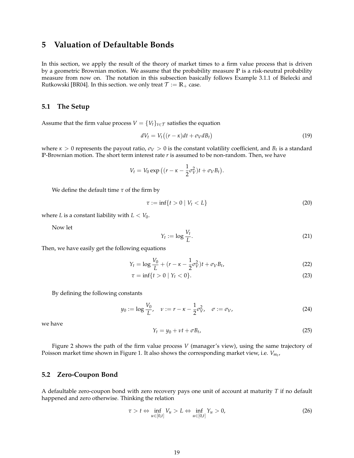# **5 Valuation of Defaultable Bonds**

In this section, we apply the result of the theory of market times to a firm value process that is driven by a geometric Brownian motion. We assume that the probability measure **P** is a risk-neutral probability measure from now on. The notation in this subsection basically follows Example 3.1.1 of Bielecki and Rutkowski [BR04]. In this section. we only treat  $\mathcal{T} := \mathbb{R}_+$  case.

## **5.1 The Setup**

Assume that the firm value process  $V = \{V_t\}_{t \in \mathcal{T}}$  satisfies the equation

$$
dV_t = V_t((r - \kappa)dt + \sigma_V dB_t)
$$
\n(19)

where  $\kappa > 0$  represents the payout ratio,  $\sigma_V > 0$  is the constant volatility coefficient, and  $B_t$  is a standard **P**-Brownian motion. The short term interest rate *r* is assumed to be non-random. Then, we have

$$
V_t = V_0 \exp \left( (r - \kappa - \frac{1}{2} \sigma_V^2)t + \sigma_V B_t \right).
$$

We define the default time *τ* of the firm by

$$
\tau := \inf\{t > 0 \mid V_t < L\} \tag{20}
$$

where *L* is a constant liability with  $L < V_0$ .

Now let

$$
Y_t := \log \frac{V_t}{L}.\tag{21}
$$

Then, we have easily get the following equations

$$
Y_t = \log \frac{V_0}{L} + (r - \kappa - \frac{1}{2}\sigma_V^2)t + \sigma_V B_t,
$$
\n(22)

$$
\tau = \inf\{t > 0 \mid Y_t < 0\}.
$$
\n(23)

By defining the following constants

$$
y_0 := \log \frac{V_0}{L}, \quad \nu := r - \kappa - \frac{1}{2}\sigma_V^2, \quad \sigma := \sigma_V,
$$
 (24)

we have

$$
Y_t = y_0 + vt + \sigma B_t, \tag{25}
$$

Figure 2 shows the path of the firm value process *V* (manager's view), using the same trajectory of Poisson market time shown in Figure 1. It also shows the corresponding market view, i.e. *Vm<sup>t</sup>* ,

## **5.2 Zero-Coupon Bond**

A defaultable zero-coupon bond with zero recovery pays one unit of account at maturity *T* if no default happened and zero otherwise. Thinking the relation

$$
\tau > t \Leftrightarrow \inf_{u \in [0,t]} V_u > L \Leftrightarrow \inf_{u \in [0,t]} Y_u > 0,
$$
\n(26)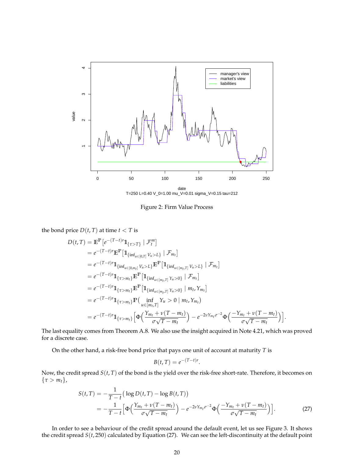

T=250 L=0.40 V\_0=1.00 mu\_V=0.01 sigma\_V=0.15 tau=212

Figure 2: Firm Value Process

the bond price  $D(t, T)$  at time  $t < T$  is

$$
D(t,T) = \mathbb{E}^{\mathbb{P}}[e^{-(T-t)r}\mathbb{1}_{\{\tau>T\}} | \mathcal{F}_{t}^{m}]
$$
  
\n
$$
= e^{-(T-t)r}\mathbb{E}^{\mathbb{P}}[\mathbb{1}_{\{\inf_{u\in[0,T]}V_{u}>L\}} | \mathcal{F}_{m_{t}}]
$$
  
\n
$$
= e^{-(T-t)r}\mathbb{1}_{\{\inf_{u\in[0,m_{t}]}V_{u}>L\}}\mathbb{E}^{\mathbb{P}}[\mathbb{1}_{\{\inf_{u\in[m_{t},T]}V_{u}>L\}} | \mathcal{F}_{m_{t}}]
$$
  
\n
$$
= e^{-(T-t)r}\mathbb{1}_{\{\tau>m_{t}\}}\mathbb{E}^{\mathbb{P}}[\mathbb{1}_{\{\inf_{u\in[m_{t},T]}Y_{u}>0\}} | \mathcal{F}_{m_{t}}]
$$
  
\n
$$
= e^{-(T-t)r}\mathbb{1}_{\{\tau>m_{t}\}}\mathbb{E}^{\mathbb{P}}[\mathbb{1}_{\{\inf_{u\in[m_{t},T]}Y_{u}>0\}} | m_{t}, Y_{m_{t}}]
$$
  
\n
$$
= e^{-(T-t)r}\mathbb{1}_{\{\tau>m_{t}\}}\mathbb{P}(\inf_{u\in[m_{t},T]}Y_{u}>0 | m_{t}, Y_{m_{t}})
$$
  
\n
$$
= e^{-(T-t)r}\mathbb{1}_{\{\tau>m_{t}\}}\big[\Phi\left(\frac{Y_{m_{t}}+v(T-m_{t})}{\sigma\sqrt{T-m_{t}}}\right) - e^{-2vY_{m_{t}}\sigma^{-2}}\Phi\left(\frac{-Y_{m_{t}}+v(T-m_{t})}{\sigma\sqrt{T-m_{t}}}\right)\big].
$$

The last equality comes from Theorem A.8. We also use the insight acquired in Note 4.21, which was proved for a discrete case.

On the other hand, a risk-free bond price that pays one unit of account at maturity *T* is

$$
B(t,T) = e^{-(T-t)r}.
$$

Now, the credit spread *S*(*t*, *T*) of the bond is the yield over the risk-free short-rate. Therefore, it becomes on *{τ > mt}*,

$$
S(t,T) = -\frac{1}{T-t} \left( \log D(t,T) - \log B(t,T) \right)
$$
  
= 
$$
-\frac{1}{T-t} \left[ \Phi \left( \frac{Y_{m_t} + v(T-m_t)}{\sigma \sqrt{T-m_t}} \right) - e^{-2\nu Y_{m_t} \sigma^{-2}} \Phi \left( \frac{-Y_{m_t} + v(T-m_t)}{\sigma \sqrt{T-m_t}} \right) \right].
$$
 (27)

In order to see a behaviour of the credit spread around the default event, let us see Figure 3. It shows the credit spread *S*(*t*, 250) calculated by Equation (27). We can see the left-discontinuity at the default point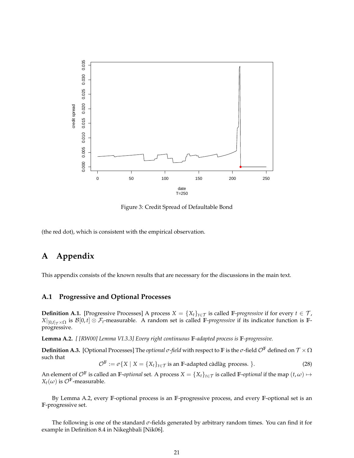

Figure 3: Credit Spread of Defaultable Bond

(the red dot), which is consistent with the empirical observation.

# **A Appendix**

This appendix consists of the known results that are necessary for the discussions in the main text.

## **A.1 Progressive and Optional Processes**

**Definition A.1.** [Progressive Processes] A process  $X = \{X_t\}_{t \in \mathcal{T}}$  is called  $\mathbb{F}$ -*progressive* if for every  $t \in \mathcal{T}$ ,  $X|_{[0,t]_T \times \Omega}$  is  $\mathcal{B}[0,t] \otimes \mathcal{F}_t$ -measurable. A random set is called **F**-*progressive* if its indicator function is **F**progressive.

**Lemma A.2.** *[ [RW00] Lemma VI.3.3] Every right continuous* **F***-adapted process is* **F***-progressive.*

**Definition A.3.** [Optional Processes] The *optional σ-field* with respect to **F** is the *σ*-field *O***<sup>F</sup>** defined on *T ×* Ω such that

 $\mathcal{O}^{\mathbb{F}} := \sigma\{X \mid X = \{X_t\}_{t \in \mathcal{T}} \text{ is an } \mathbb{F}\text{-adapted c\{and}} \text{ gives } \text{.}$  (28)

An element of  $\mathcal{O}^{\mathbb{F}}$  is called an  $\mathbb{F}$ -*optional* set. A process  $X = \{X_t\}_{t \in \mathcal{T}}$  is called  $\mathbb{F}$ -*optional* if the map  $(t, \omega) \mapsto$  $X_t(\omega)$  is  $\mathcal{O}^{\mathbb{F}}$ -measurable.

By Lemma A.2, every **F**-optional process is an **F**-progressive process, and every **F**-optional set is an **F**-progressive set.

The following is one of the standard *σ*-fields generated by arbitrary random times. You can find it for example in Definition 8.4 in Nikeghbali [Nik06].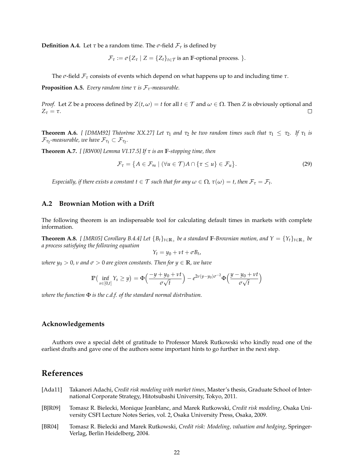**Definition A.4.** Let  $\tau$  be a random time. The  $\sigma$ -field  $\mathcal{F}_{\tau}$  is defined by

$$
\mathcal{F}_{\tau} := \sigma \{ Z_{\tau} \mid Z = \{ Z_{t} \}_{t \in \mathcal{T}}
$$
 is an F-optional process. }.

The *σ*-field *F<sup>τ</sup>* consists of events which depend on what happens up to and including time *τ*.

**Proposition A.5.** *Every random time*  $\tau$  *is*  $\mathcal{F}_{\tau}$ *-measurable.* 

*Proof.* Let *Z* be a process defined by  $Z(t, \omega) = t$  for all  $t \in \mathcal{T}$  and  $\omega \in \Omega$ . Then *Z* is obviously optional and  $Z_{\tau} = \tau$ .  $\Box$ 

**Theorem A.6.** *[ [DMM92] Théorème XX.27] Let*  $\tau_1$  *and*  $\tau_2$  *be two random times such that*  $\tau_1 \leq \tau_2$ *. If*  $\tau_1$  *is*  $\mathcal{F}_{\tau_2}$ -measurable, we have  $\mathcal{F}_{\tau_1} \subset \mathcal{F}_{\tau_2}.$ 

**Theorem A.7.** *[ [RW00] Lemma VI.17.5] If τ is an* **F***-stopping time, then*

$$
\mathcal{F}_{\tau} = \{ A \in \mathcal{F}_{\infty} \mid (\forall u \in \mathcal{T}) A \cap \{ \tau \leq u \} \in \mathcal{F}_{u} \}.
$$
 (29)

*Especially, if there exists a constant*  $t \in \mathcal{T}$  *such that for any*  $\omega \in \Omega$ *,*  $\tau(\omega) = t$ *, then*  $\mathcal{F}_{\tau} = \mathcal{F}_t$ *.* 

# **A.2 Brownian Motion with a Drift**

The following theorem is an indispensable tool for calculating default times in markets with complete information.

**Theorem A.8.** [[MR05] Corollary B.4.4] Let  $\{B_t\}_{t\in\mathbb{R}_+}$  be a standard  $\mathbb{F}$ -Brownian motion, and  $Y = \{Y_t\}_{t\in\mathbb{R}_+}$  be *a process satisfying the following equation*

$$
Y_t = y_0 + vt + \sigma B_t,
$$

*where*  $y_0 > 0$ , *v* and  $\sigma > 0$  are given constants. Then for  $y \in \mathbb{R}$ , we have

$$
\mathbb{P}\left(\inf_{s\in[0,t]}Y_s\geq y\right)=\Phi\left(\frac{-y+y_0+\nu t}{\sigma\sqrt{t}}\right)-e^{2\nu(y-y_0)\sigma^{-2}}\Phi\left(\frac{y-y_0+\nu t}{\sigma\sqrt{t}}\right)
$$

*where the function* Φ *is the c.d.f. of the standard normal distribution.*

## **Acknowledgements**

Authors owe a special debt of gratitude to Professor Marek Rutkowski who kindly read one of the earliest drafts and gave one of the authors some important hints to go further in the next step.

# **References**

- [Ada11] Takanori Adachi, *Credit risk modeling with market times*, Master's thesis, Graduate School of International Corporate Strategy, Hitotsubashi University, Tokyo, 2011.
- [BJR09] Tomasz R. Bielecki, Monique Jeanblanc, and Marek Rutkowski, *Credit risk modeling*, Osaka University CSFI Lecture Notes Series, vol. 2, Osaka University Press, Osaka, 2009.
- [BR04] Tomasz R. Bielecki and Marek Rutkowski, *Credit risk: Modeling, valuation and hedging*, Springer-Verlag, Berlin Heidelberg, 2004.